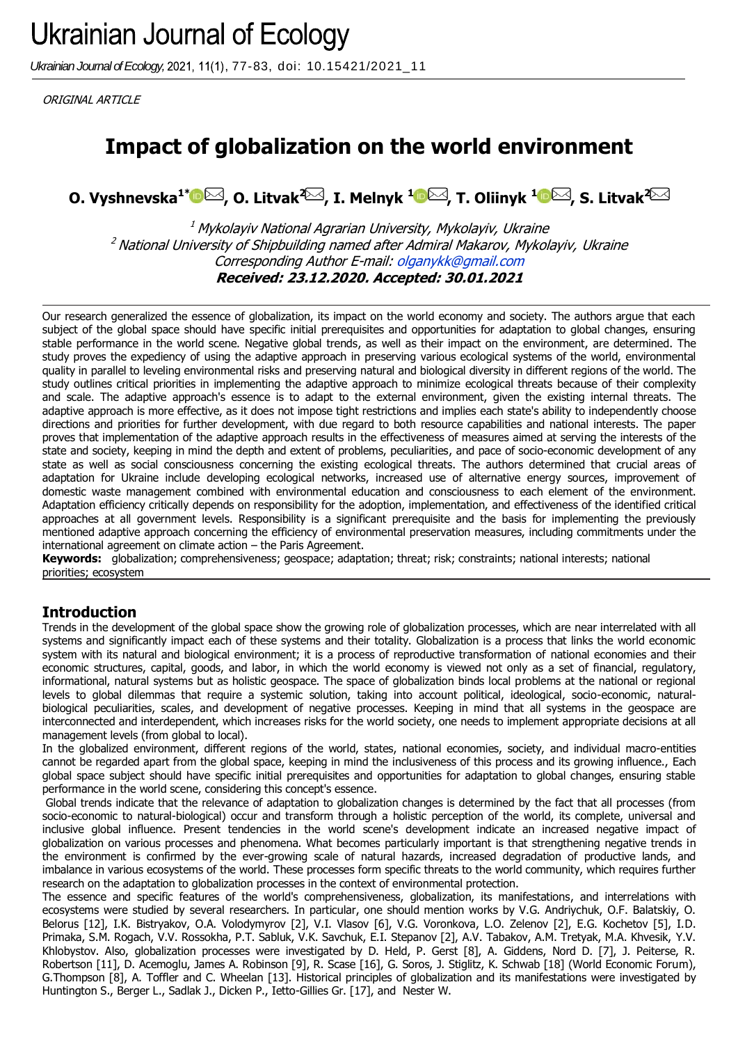Ukrainian Journal of Ecology, 2021, 11(1), 77-83, doi: 10.15421/2021\_11

ORIGINAL ARTICLE

# **Impact of globalization on the world environment**

**O. Vyshnevska1[\\*](http://orcid.org/0000-0003-1996-4590) [,](mailto:olganykk@gmail.com) O. Litvak[2](mailto:olya.litvak@gmail.com) , I. Melnyk <sup>1</sup> [,](mailto:melnik@mnau.edu.ua) T. Oliinyk [1](http://orcid.org/0000-0002-5803-2596) [,](mailto:oliinyktetiana44@gmail.com) S. Litvak<sup>2</sup>**

 $1$  Mykolayiv National Agrarian University, Mykolayiv, Ukraine  $<sup>2</sup>$  National University of Shipbuilding named after Admiral Makarov, Mykolayiv, Ukraine</sup> Corresponding Author E-mail: [olganykk@gmail.com](mailto:olganykk@gmail.com) **Received: 23.12.2020. Accepted: 30.01.2021**

Our research generalized the essence of globalization, its impact on the world economy and society. The authors argue that each subject of the global space should have specific initial prerequisites and opportunities for adaptation to global changes, ensuring stable performance in the world scene. Negative global trends, as well as their impact on the environment, are determined. The study proves the expediency of using the adaptive approach in preserving various ecological systems of the world, environmental quality in parallel to leveling environmental risks and preserving natural and biological diversity in different regions of the world. The study outlines critical priorities in implementing the adaptive approach to minimize ecological threats because of their complexity and scale. The adaptive approach's essence is to adapt to the external environment, given the existing internal threats. The adaptive approach is more effective, as it does not impose tight restrictions and implies each state's ability to independently choose directions and priorities for further development, with due regard to both resource capabilities and national interests. The paper proves that implementation of the adaptive approach results in the effectiveness of measures aimed at serving the interests of the state and society, keeping in mind the depth and extent of problems, peculiarities, and pace of socio-economic development of any state as well as social consciousness concerning the existing ecological threats. The authors determined that crucial areas of adaptation for Ukraine include developing ecological networks, increased use of alternative energy sources, improvement of domestic waste management combined with environmental education and consciousness to each element of the environment. Adaptation efficiency critically depends on responsibility for the adoption, implementation, and effectiveness of the identified critical approaches at all government levels. Responsibility is a significant prerequisite and the basis for implementing the previously mentioned adaptive approach concerning the efficiency of environmental preservation measures, including commitments under the international agreement on climate action – the Paris Agreement.

**Keywords:** globalization; comprehensiveness; geospace; adaptation; threat; risk; constraints; national interests; national priorities; ecosystem

## **Introduction**

Trends in the development of the global space show the growing role of globalization processes, which are near interrelated with all systems and significantly impact each of these systems and their totality. Globalization is a process that links the world economic system with its natural and biological environment; it is a process of reproductive transformation of national economies and their economic structures, capital, goods, and labor, in which the world economy is viewed not only as a set of financial, regulatory, informational, natural systems but as holistic geospace. The space of globalization binds local problems at the national or regional levels to global dilemmas that require a systemic solution, taking into account political, ideological, socio-economic, naturalbiological peculiarities, scales, and development of negative processes. Keeping in mind that all systems in the geospace are interconnected and interdependent, which increases risks for the world society, one needs to implement appropriate decisions at all management levels (from global to local).

In the globalized environment, different regions of the world, states, national economies, society, and individual macro-entities cannot be regarded apart from the global space, keeping in mind the inclusiveness of this process and its growing influence., Each global space subject should have specific initial prerequisites and opportunities for adaptation to global changes, ensuring stable performance in the world scene, considering this concept's essence.

Global trends indicate that the relevance of adaptation to globalization changes is determined by the fact that all processes (from socio-economic to natural-biological) occur and transform through a holistic perception of the world, its complete, universal and inclusive global influence. Present tendencies in the world scene's development indicate an increased negative impact of globalization on various processes and phenomena. What becomes particularly important is that strengthening negative trends in the environment is confirmed by the ever-growing scale of natural hazards, increased degradation of productive lands, and imbalance in various ecosystems of the world. These processes form specific threats to the world community, which requires further research on the adaptation to globalization processes in the context of environmental protection.

The essence and specific features of the world's comprehensiveness, globalization, its manifestations, and interrelations with ecosystems were studied by several researchers. In particular, one should mention works by V.G. Andriychuk, O.F. Balatskiy, O. Belorus [12], I.K. Bistryakov, O.A. Volodymyrov [2], V.I. Vlasov [6], V.G. Voronkova, L.O. Zelenov [2], E.G. Kochetov [5], I.D. Primaka, S.M. Rogach, V.V. Rossokha, P.T. Sabluk, V.K. Savchuk, E.I. Stepanov [2], A.V. Tabakov, A.M. Tretyak, M.A. Khvesik, Y.V. Khlobystov. Also, globalization processes were investigated by D. Held, P. Gerst [8], A. Giddens, Nord D. [7], J. Peiterse, R. Robertson [11], D. Acemoglu, James A. Robinson [9], R. Scase [16], G. Soros, J. Stiglitz, K. Schwab [18] (World Economic Forum), G.Thompson [8], A. Toffler and C. Wheelan [13]. Historical principles of globalization and its manifestations were investigated by Huntington S., Berger L., Sadlak J., Dicken P., Ietto-Gillies Gr. [17], and Nester W.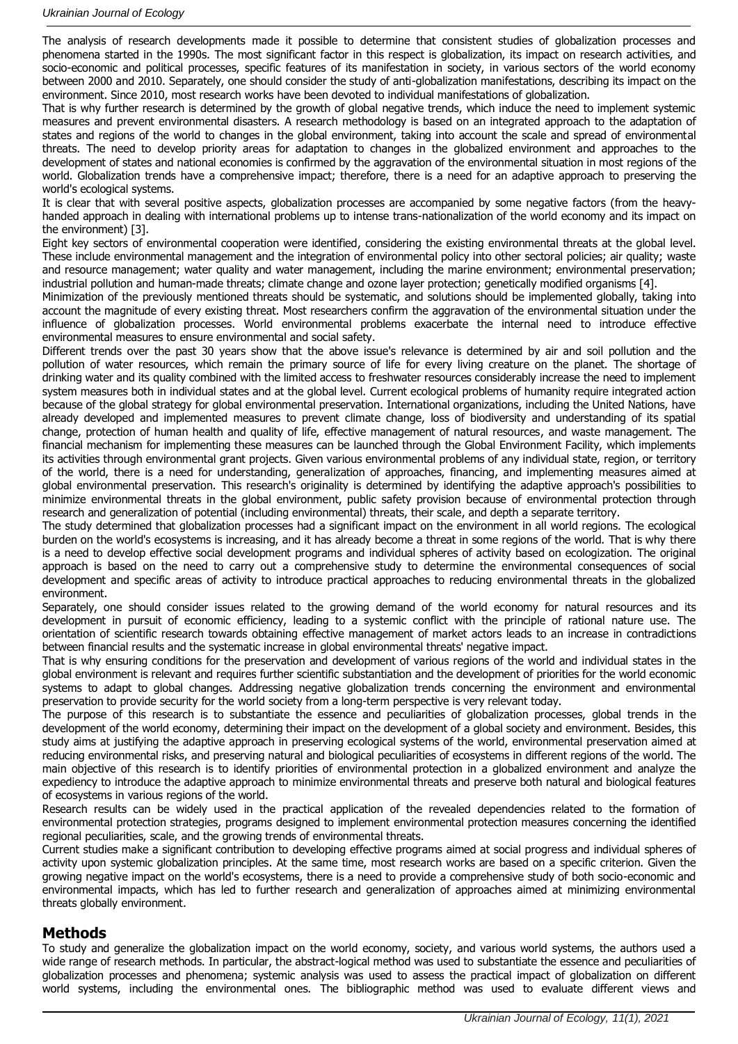The analysis of research developments made it possible to determine that consistent studies of globalization processes and phenomena started in the 1990s. The most significant factor in this respect is globalization, its impact on research activities, and socio-economic and political processes, specific features of its manifestation in society, in various sectors of the world economy between 2000 and 2010. Separately, one should consider the study of anti-globalization manifestations, describing its impact on the environment. Since 2010, most research works have been devoted to individual manifestations of globalization.

That is why further research is determined by the growth of global negative trends, which induce the need to implement systemic measures and prevent environmental disasters. A research methodology is based on an integrated approach to the adaptation of states and regions of the world to changes in the global environment, taking into account the scale and spread of environmental threats. The need to develop priority areas for adaptation to changes in the globalized environment and approaches to the development of states and national economies is confirmed by the aggravation of the environmental situation in most regions of the world. Globalization trends have a comprehensive impact; therefore, there is a need for an adaptive approach to preserving the world's ecological systems.

It is clear that with several positive aspects, globalization processes are accompanied by some negative factors (from the heavyhanded approach in dealing with international problems up to intense trans-nationalization of the world economy and its impact on the environment) [3].

Eight key sectors of environmental cooperation were identified, considering the existing environmental threats at the global level. These include environmental management and the integration of environmental policy into other sectoral policies; air quality; waste and resource management; water quality and water management, including the marine environment; environmental preservation; industrial pollution and human-made threats; climate change and ozone layer protection; genetically modified organisms [4].

Minimization of the previously mentioned threats should be systematic, and solutions should be implemented globally, taking into account the magnitude of every existing threat. Most researchers confirm the aggravation of the environmental situation under the influence of globalization processes. World environmental problems exacerbate the internal need to introduce effective environmental measures to ensure environmental and social safety.

Different trends over the past 30 years show that the above issue's relevance is determined by air and soil pollution and the pollution of water resources, which remain the primary source of life for every living creature on the planet. The shortage of drinking water and its quality combined with the limited access to freshwater resources considerably increase the need to implement system measures both in individual states and at the global level. Current ecological problems of humanity require integrated action because of the global strategy for global environmental preservation. International organizations, including the United Nations, have already developed and implemented measures to prevent climate change, loss of biodiversity and understanding of its spatial change, protection of human health and quality of life, effective management of natural resources, and waste management. The financial mechanism for implementing these measures can be launched through the Global Environment Facility, which implements its activities through environmental grant projects. Given various environmental problems of any individual state, region, or territory of the world, there is a need for understanding, generalization of approaches, financing, and implementing measures aimed at global environmental preservation. This research's originality is determined by identifying the adaptive approach's possibilities to minimize environmental threats in the global environment, public safety provision because of environmental protection through research and generalization of potential (including environmental) threats, their scale, and depth a separate territory.

The study determined that globalization processes had a significant impact on the environment in all world regions. The ecological burden on the world's ecosystems is increasing, and it has already become a threat in some regions of the world. That is why there is a need to develop effective social development programs and individual spheres of activity based on ecologization. The original approach is based on the need to carry out a comprehensive study to determine the environmental consequences of social development and specific areas of activity to introduce practical approaches to reducing environmental threats in the globalized environment.

Separately, one should consider issues related to the growing demand of the world economy for natural resources and its development in pursuit of economic efficiency, leading to a systemic conflict with the principle of rational nature use. The orientation of scientific research towards obtaining effective management of market actors leads to an increase in contradictions between financial results and the systematic increase in global environmental threats' negative impact.

That is why ensuring conditions for the preservation and development of various regions of the world and individual states in the global environment is relevant and requires further scientific substantiation and the development of priorities for the world economic systems to adapt to global changes. Addressing negative globalization trends concerning the environment and environmental preservation to provide security for the world society from a long-term perspective is very relevant today.

The purpose of this research is to substantiate the essence and peculiarities of globalization processes, global trends in the development of the world economy, determining their impact on the development of a global society and environment. Besides, this study aims at justifying the adaptive approach in preserving ecological systems of the world, environmental preservation aimed at reducing environmental risks, and preserving natural and biological peculiarities of ecosystems in different regions of the world. The main objective of this research is to identify priorities of environmental protection in a globalized environment and analyze the expediency to introduce the adaptive approach to minimize environmental threats and preserve both natural and biological features of ecosystems in various regions of the world.

Research results can be widely used in the practical application of the revealed dependencies related to the formation of environmental protection strategies, programs designed to implement environmental protection measures concerning the identified regional peculiarities, scale, and the growing trends of environmental threats.

Current studies make a significant contribution to developing effective programs aimed at social progress and individual spheres of activity upon systemic globalization principles. At the same time, most research works are based on a specific criterion. Given the growing negative impact on the world's ecosystems, there is a need to provide a comprehensive study of both socio-economic and environmental impacts, which has led to further research and generalization of approaches aimed at minimizing environmental threats globally environment.

### **Methods**

To study and generalize the globalization impact on the world economy, society, and various world systems, the authors used a wide range of research methods. In particular, the abstract-logical method was used to substantiate the essence and peculiarities of globalization processes and phenomena; systemic analysis was used to assess the practical impact of globalization on different world systems, including the environmental ones. The bibliographic method was used to evaluate different views and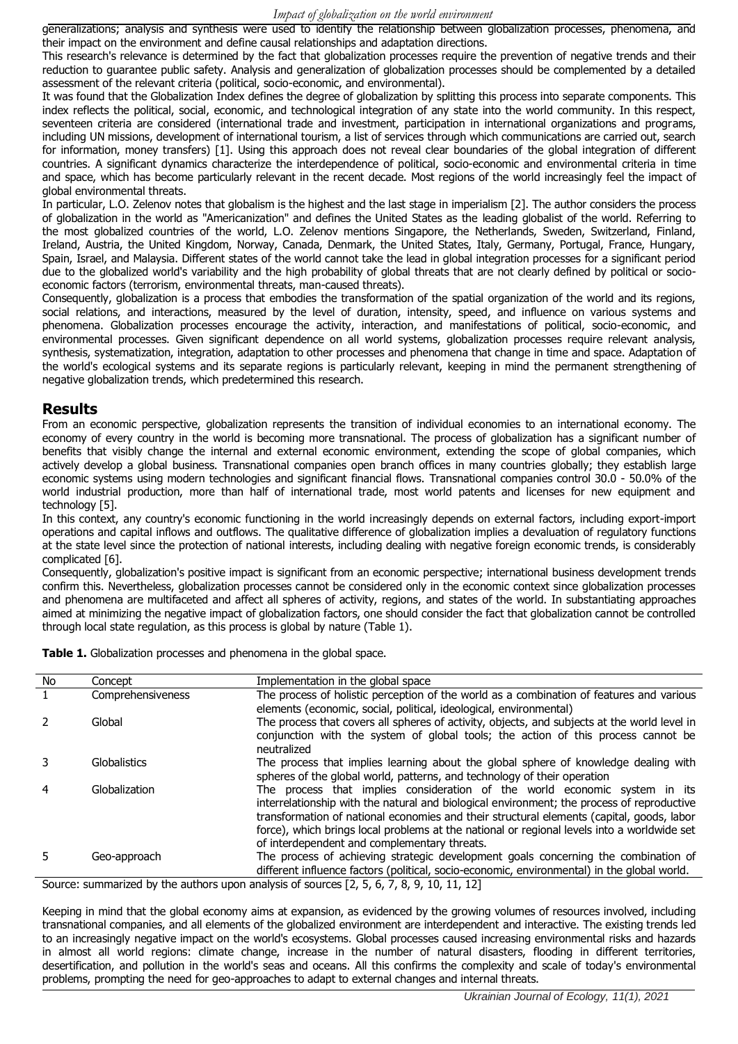generalizations; analysis and synthesis were used to identify the relationship between globalization processes, phenomena, and their impact on the environment and define causal relationships and adaptation directions.

This research's relevance is determined by the fact that globalization processes require the prevention of negative trends and their reduction to guarantee public safety. Analysis and generalization of globalization processes should be complemented by a detailed assessment of the relevant criteria (political, socio-economic, and environmental).

It was found that the Globalization Index defines the degree of globalization by splitting this process into separate components. This index reflects the political, social, economic, and technological integration of any state into the world community. In this respect, seventeen criteria are considered (international trade and investment, participation in international organizations and programs, including UN missions, development of international tourism, a list of services through which communications are carried out, search for information, money transfers) [1]. Using this approach does not reveal clear boundaries of the global integration of different countries. A significant dynamics characterize the interdependence of political, socio-economic and environmental criteria in time and space, which has become particularly relevant in the recent decade. Most regions of the world increasingly feel the impact of global environmental threats.

In particular, L.O. Zelenov notes that globalism is the highest and the last stage in imperialism [2]. The author considers the process of globalization in the world as "Americanization" and defines the United States as the leading globalist of the world. Referring to the most globalized countries of the world, L.O. Zelenov mentions Singapore, the Netherlands, Sweden, Switzerland, Finland, Ireland, Austria, the United Kingdom, Norway, Canada, Denmark, the United States, Italy, Germany, Portugal, France, Hungary, Spain, Israel, and Malaysia. Different states of the world cannot take the lead in global integration processes for a significant period due to the globalized world's variability and the high probability of global threats that are not clearly defined by political or socioeconomic factors (terrorism, environmental threats, man-caused threats).

Consequently, globalization is a process that embodies the transformation of the spatial organization of the world and its regions, social relations, and interactions, measured by the level of duration, intensity, speed, and influence on various systems and phenomena. Globalization processes encourage the activity, interaction, and manifestations of political, socio-economic, and environmental processes. Given significant dependence on all world systems, globalization processes require relevant analysis, synthesis, systematization, integration, adaptation to other processes and phenomena that change in time and space. Adaptation of the world's ecological systems and its separate regions is particularly relevant, keeping in mind the permanent strengthening of negative globalization trends, which predetermined this research.

#### **Results**

From an economic perspective, globalization represents the transition of individual economies to an international economy. The economy of every country in the world is becoming more transnational. The process of globalization has a significant number of benefits that visibly change the internal and external economic environment, extending the scope of global companies, which actively develop a global business. Transnational companies open branch offices in many countries globally; they establish large economic systems using modern technologies and significant financial flows. Transnational companies control 30.0 - 50.0% of the world industrial production, more than half of international trade, most world patents and licenses for new equipment and technology [5].

In this context, any country's economic functioning in the world increasingly depends on external factors, including export-import operations and capital inflows and outflows. The qualitative difference of globalization implies a devaluation of regulatory functions at the state level since the protection of national interests, including dealing with negative foreign economic trends, is considerably complicated [6].

Consequently, globalization's positive impact is significant from an economic perspective; international business development trends confirm this. Nevertheless, globalization processes cannot be considered only in the economic context since globalization processes and phenomena are multifaceted and affect all spheres of activity, regions, and states of the world. In substantiating approaches aimed at minimizing the negative impact of globalization factors, one should consider the fact that globalization cannot be controlled through local state regulation, as this process is global by nature (Table 1).

| No | Concept           | Implementation in the global space                                                                                                                                                                                                                                                                                                                                                                                   |
|----|-------------------|----------------------------------------------------------------------------------------------------------------------------------------------------------------------------------------------------------------------------------------------------------------------------------------------------------------------------------------------------------------------------------------------------------------------|
|    | Comprehensiveness | The process of holistic perception of the world as a combination of features and various<br>elements (economic, social, political, ideological, environmental)                                                                                                                                                                                                                                                       |
|    | Global            | The process that covers all spheres of activity, objects, and subjects at the world level in<br>conjunction with the system of global tools; the action of this process cannot be<br>neutralized                                                                                                                                                                                                                     |
|    | Globalistics      | The process that implies learning about the global sphere of knowledge dealing with<br>spheres of the global world, patterns, and technology of their operation                                                                                                                                                                                                                                                      |
| 4  | Globalization     | The process that implies consideration of the world economic system in its<br>interrelationship with the natural and biological environment; the process of reproductive<br>transformation of national economies and their structural elements (capital, goods, labor<br>force), which brings local problems at the national or regional levels into a worldwide set<br>of interdependent and complementary threats. |
|    | Geo-approach      | The process of achieving strategic development goals concerning the combination of<br>different influence factors (political, socio-economic, environmental) in the global world.                                                                                                                                                                                                                                    |
|    |                   | Course: summarized by the authors upon applysis of sources $[2 \tImes 7 \tImes 10 \tImes 11 \tImes 12]$                                                                                                                                                                                                                                                                                                              |

Table 1. Globalization processes and phenomena in the global space.

Source: summarized by the authors upon analysis of sources [2, 5, 6, 7, 8, 9, 10, 11, 12]

Keeping in mind that the global economy aims at expansion, as evidenced by the growing volumes of resources involved, including transnational companies, and all elements of the globalized environment are interdependent and interactive. The existing trends led to an increasingly negative impact on the world's ecosystems. Global processes caused increasing environmental risks and hazards in almost all world regions: climate change, increase in the number of natural disasters, flooding in different territories, desertification, and pollution in the world's seas and oceans. All this confirms the complexity and scale of today's environmental problems, prompting the need for geo-approaches to adapt to external changes and internal threats.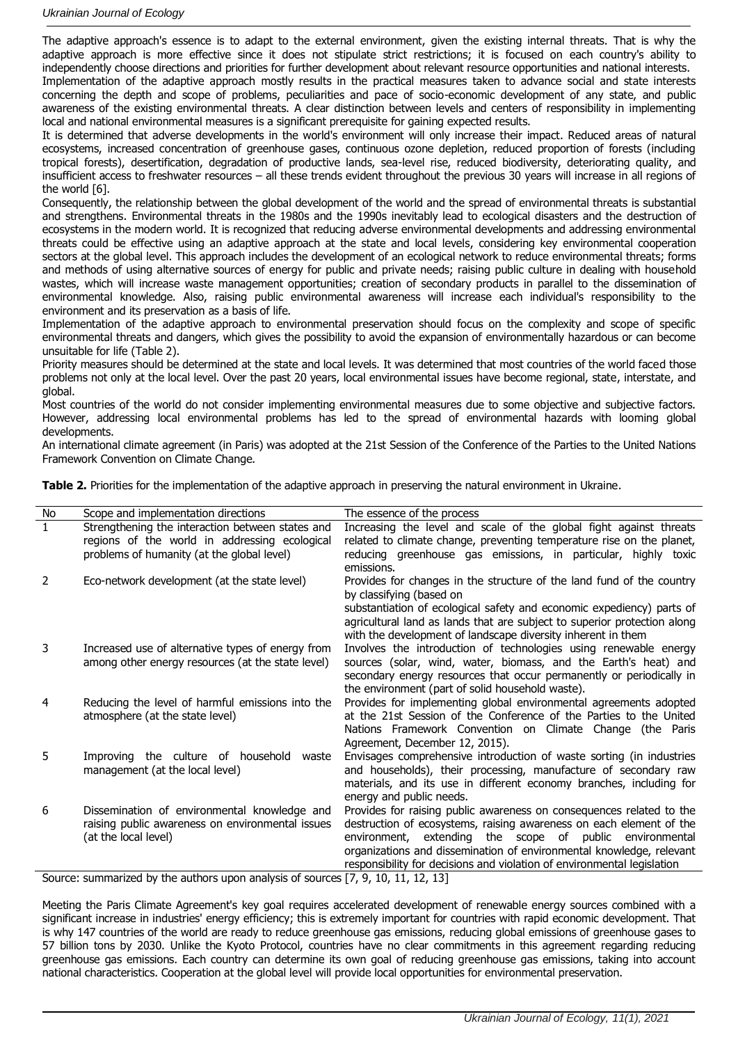The adaptive approach's essence is to adapt to the external environment, given the existing internal threats. That is why the adaptive approach is more effective since it does not stipulate strict restrictions; it is focused on each country's ability to independently choose directions and priorities for further development about relevant resource opportunities and national interests.

Implementation of the adaptive approach mostly results in the practical measures taken to advance social and state interests concerning the depth and scope of problems, peculiarities and pace of socio-economic development of any state, and public awareness of the existing environmental threats. A clear distinction between levels and centers of responsibility in implementing local and national environmental measures is a significant prerequisite for gaining expected results.

It is determined that adverse developments in the world's environment will only increase their impact. Reduced areas of natural ecosystems, increased concentration of greenhouse gases, continuous ozone depletion, reduced proportion of forests (including tropical forests), desertification, degradation of productive lands, sea-level rise, reduced biodiversity, deteriorating quality, and insufficient access to freshwater resources – all these trends evident throughout the previous 30 years will increase in all regions of the world [6].

Consequently, the relationship between the global development of the world and the spread of environmental threats is substantial and strengthens. Environmental threats in the 1980s and the 1990s inevitably lead to ecological disasters and the destruction of ecosystems in the modern world. It is recognized that reducing adverse environmental developments and addressing environmental threats could be effective using an adaptive approach at the state and local levels, considering key environmental cooperation sectors at the global level. This approach includes the development of an ecological network to reduce environmental threats; forms and methods of using alternative sources of energy for public and private needs; raising public culture in dealing with household wastes, which will increase waste management opportunities; creation of secondary products in parallel to the dissemination of environmental knowledge. Also, raising public environmental awareness will increase each individual's responsibility to the environment and its preservation as a basis of life.

Implementation of the adaptive approach to environmental preservation should focus on the complexity and scope of specific environmental threats and dangers, which gives the possibility to avoid the expansion of environmentally hazardous or can become unsuitable for life (Table 2).

Priority measures should be determined at the state and local levels. It was determined that most countries of the world faced those problems not only at the local level. Over the past 20 years, local environmental issues have become regional, state, interstate, and global.

Most countries of the world do not consider implementing environmental measures due to some objective and subjective factors. However, addressing local environmental problems has led to the spread of environmental hazards with looming global developments.

An international climate agreement (in Paris) was adopted at the 21st Session of the Conference of the Parties to the United Nations Framework Convention on Climate Change.

|  |  |  |  |  |  | Table 2. Priorities for the implementation of the adaptive approach in preserving the natural environment in Ukraine. |
|--|--|--|--|--|--|-----------------------------------------------------------------------------------------------------------------------|
|--|--|--|--|--|--|-----------------------------------------------------------------------------------------------------------------------|

| No                                                                                | Scope and implementation directions                                                 | The essence of the process                                                                                                              |  |  |
|-----------------------------------------------------------------------------------|-------------------------------------------------------------------------------------|-----------------------------------------------------------------------------------------------------------------------------------------|--|--|
| $\mathbf{1}$                                                                      | Strengthening the interaction between states and                                    | Increasing the level and scale of the global fight against threats                                                                      |  |  |
|                                                                                   | regions of the world in addressing ecological                                       | related to climate change, preventing temperature rise on the planet,                                                                   |  |  |
|                                                                                   | problems of humanity (at the global level)                                          | reducing greenhouse gas emissions, in particular, highly toxic                                                                          |  |  |
|                                                                                   |                                                                                     | emissions.                                                                                                                              |  |  |
| 2                                                                                 | Eco-network development (at the state level)                                        | Provides for changes in the structure of the land fund of the country                                                                   |  |  |
|                                                                                   |                                                                                     | by classifying (based on                                                                                                                |  |  |
|                                                                                   |                                                                                     | substantiation of ecological safety and economic expediency) parts of                                                                   |  |  |
|                                                                                   |                                                                                     | agricultural land as lands that are subject to superior protection along                                                                |  |  |
|                                                                                   |                                                                                     | with the development of landscape diversity inherent in them                                                                            |  |  |
| 3                                                                                 | Increased use of alternative types of energy from                                   | Involves the introduction of technologies using renewable energy                                                                        |  |  |
|                                                                                   | among other energy resources (at the state level)                                   | sources (solar, wind, water, biomass, and the Earth's heat) and                                                                         |  |  |
|                                                                                   |                                                                                     | secondary energy resources that occur permanently or periodically in                                                                    |  |  |
| 4                                                                                 |                                                                                     | the environment (part of solid household waste).                                                                                        |  |  |
|                                                                                   | Reducing the level of harmful emissions into the<br>atmosphere (at the state level) | Provides for implementing global environmental agreements adopted<br>at the 21st Session of the Conference of the Parties to the United |  |  |
|                                                                                   |                                                                                     | Nations Framework Convention on Climate Change (the Paris                                                                               |  |  |
|                                                                                   |                                                                                     | Agreement, December 12, 2015).                                                                                                          |  |  |
| 5.                                                                                | Improving the culture of household<br>waste                                         | Envisages comprehensive introduction of waste sorting (in industries                                                                    |  |  |
|                                                                                   | management (at the local level)                                                     | and households), their processing, manufacture of secondary raw                                                                         |  |  |
|                                                                                   |                                                                                     | materials, and its use in different economy branches, including for                                                                     |  |  |
|                                                                                   |                                                                                     | energy and public needs.                                                                                                                |  |  |
| 6                                                                                 | Dissemination of environmental knowledge and                                        | Provides for raising public awareness on consequences related to the                                                                    |  |  |
|                                                                                   | raising public awareness on environmental issues                                    | destruction of ecosystems, raising awareness on each element of the                                                                     |  |  |
|                                                                                   | (at the local level)                                                                | environment, extending the scope of public environmental                                                                                |  |  |
|                                                                                   |                                                                                     | organizations and dissemination of environmental knowledge, relevant                                                                    |  |  |
|                                                                                   |                                                                                     | responsibility for decisions and violation of environmental legislation                                                                 |  |  |
| Source: summarized by the authors upon analysis of sources [7, 9, 10, 11, 12, 13] |                                                                                     |                                                                                                                                         |  |  |

Source: summarized by the authors upon analysis of sources [7, 9, 10, 11, 12, 13]

Meeting the Paris Climate Agreement's key goal requires accelerated development of renewable energy sources combined with a significant increase in industries' energy efficiency; this is extremely important for countries with rapid economic development. That is why 147 countries of the world are ready to reduce greenhouse gas emissions, reducing global emissions of greenhouse gases to 57 billion tons by 2030. Unlike the Kyoto Protocol, countries have no clear commitments in this agreement regarding reducing greenhouse gas emissions. Each country can determine its own goal of reducing greenhouse gas emissions, taking into account national characteristics. Cooperation at the global level will provide local opportunities for environmental preservation.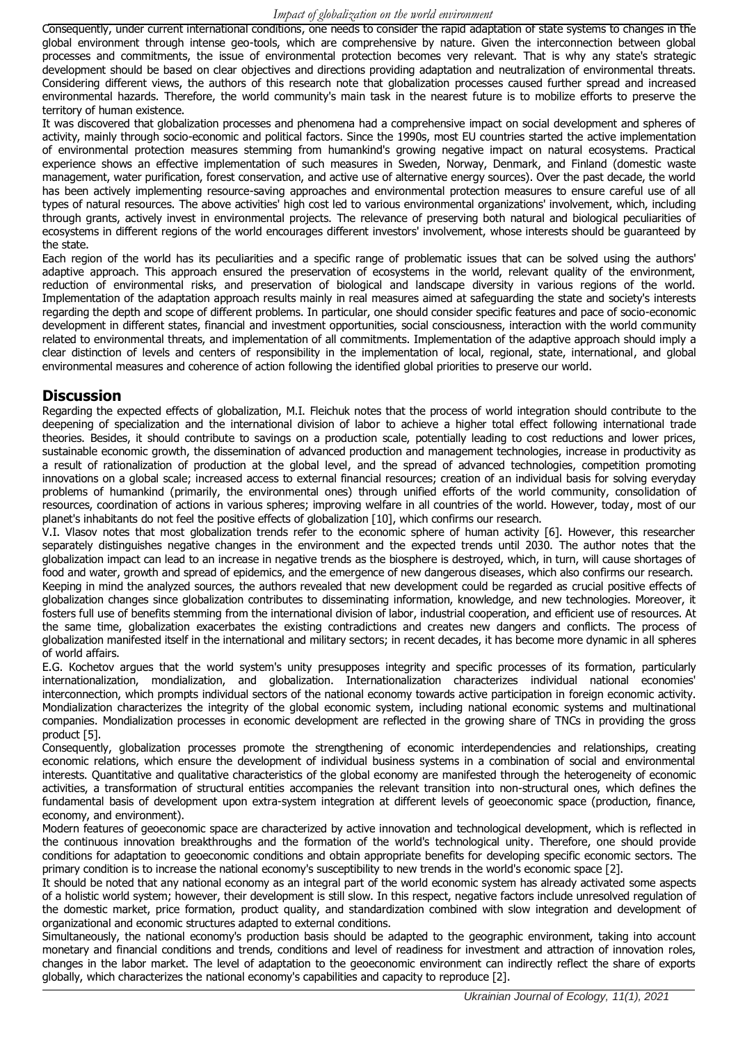Consequently, under current international conditions, one needs to consider the rapid adaptation of state systems to changes in the global environment through intense geo-tools, which are comprehensive by nature. Given the interconnection between global processes and commitments, the issue of environmental protection becomes very relevant. That is why any state's strategic development should be based on clear objectives and directions providing adaptation and neutralization of environmental threats. Considering different views, the authors of this research note that globalization processes caused further spread and increased environmental hazards. Therefore, the world community's main task in the nearest future is to mobilize efforts to preserve the territory of human existence.

It was discovered that globalization processes and phenomena had a comprehensive impact on social development and spheres of activity, mainly through socio-economic and political factors. Since the 1990s, most EU countries started the active implementation of environmental protection measures stemming from humankind's growing negative impact on natural ecosystems. Practical experience shows an effective implementation of such measures in Sweden, Norway, Denmark, and Finland (domestic waste management, water purification, forest conservation, and active use of alternative energy sources). Over the past decade, the world has been actively implementing resource-saving approaches and environmental protection measures to ensure careful use of all types of natural resources. The above activities' high cost led to various environmental organizations' involvement, which, including through grants, actively invest in environmental projects. The relevance of preserving both natural and biological peculiarities of ecosystems in different regions of the world encourages different investors' involvement, whose interests should be guaranteed by the state.

Each region of the world has its peculiarities and a specific range of problematic issues that can be solved using the authors' adaptive approach. This approach ensured the preservation of ecosystems in the world, relevant quality of the environment, reduction of environmental risks, and preservation of biological and landscape diversity in various regions of the world. Implementation of the adaptation approach results mainly in real measures aimed at safeguarding the state and society's interests regarding the depth and scope of different problems. In particular, one should consider specific features and pace of socio-economic development in different states, financial and investment opportunities, social consciousness, interaction with the world community related to environmental threats, and implementation of all commitments. Implementation of the adaptive approach should imply a clear distinction of levels and centers of responsibility in the implementation of local, regional, state, international, and global environmental measures and coherence of action following the identified global priorities to preserve our world.

### **Discussion**

Regarding the expected effects of globalization, M.I. Fleichuk notes that the process of world integration should contribute to the deepening of specialization and the international division of labor to achieve a higher total effect following international trade theories. Besides, it should contribute to savings on a production scale, potentially leading to cost reductions and lower prices, sustainable economic growth, the dissemination of advanced production and management technologies, increase in productivity as a result of rationalization of production at the global level, and the spread of advanced technologies, competition promoting innovations on a global scale; increased access to external financial resources; creation of an individual basis for solving everyday problems of humankind (primarily, the environmental ones) through unified efforts of the world community, consolidation of resources, coordination of actions in various spheres; improving welfare in all countries of the world. However, today, most of our planet's inhabitants do not feel the positive effects of globalization [10], which confirms our research.

V.I. Vlasov notes that most globalization trends refer to the economic sphere of human activity [6]. However, this researcher separately distinguishes negative changes in the environment and the expected trends until 2030. The author notes that the globalization impact can lead to an increase in negative trends as the biosphere is destroyed, which, in turn, will cause shortages of food and water, growth and spread of epidemics, and the emergence of new dangerous diseases, which also confirms our research. Keeping in mind the analyzed sources, the authors revealed that new development could be regarded as crucial positive effects of globalization changes since globalization contributes to disseminating information, knowledge, and new technologies. Moreover, it fosters full use of benefits stemming from the international division of labor, industrial cooperation, and efficient use of resources. At the same time, globalization exacerbates the existing contradictions and creates new dangers and conflicts. The process of globalization manifested itself in the international and military sectors; in recent decades, it has become more dynamic in all spheres of world affairs.

E.G. Кochetov argues that the world system's unity presupposes integrity and specific processes of its formation, particularly internationalization, mondialization, and globalization. Internationalization characterizes individual national economies' interconnection, which prompts individual sectors of the national economy towards active participation in foreign economic activity. Mondialization characterizes the integrity of the global economic system, including national economic systems and multinational companies. Mondialization processes in economic development are reflected in the growing share of TNCs in providing the gross product [5].

Consequently, globalization processes promote the strengthening of economic interdependencies and relationships, creating economic relations, which ensure the development of individual business systems in a combination of social and environmental interests. Quantitative and qualitative characteristics of the global economy are manifested through the heterogeneity of economic activities, a transformation of structural entities accompanies the relevant transition into non-structural ones, which defines the fundamental basis of development upon extra-system integration at different levels of geoeconomic space (production, finance, economy, and environment).

Modern features of geoeconomic space are characterized by active innovation and technological development, which is reflected in the continuous innovation breakthroughs and the formation of the world's technological unity. Therefore, one should provide conditions for adaptation to geoeconomic conditions and obtain appropriate benefits for developing specific economic sectors. The primary condition is to increase the national economy's susceptibility to new trends in the world's economic space [2].

It should be noted that any national economy as an integral part of the world economic system has already activated some aspects of a holistic world system; however, their development is still slow. In this respect, negative factors include unresolved regulation of the domestic market, price formation, product quality, and standardization combined with slow integration and development of organizational and economic structures adapted to external conditions.

Simultaneously, the national economy's production basis should be adapted to the geographic environment, taking into account monetary and financial conditions and trends, conditions and level of readiness for investment and attraction of innovation roles, changes in the labor market. The level of adaptation to the geoeconomic environment can indirectly reflect the share of exports globally, which characterizes the national economy's capabilities and capacity to reproduce [2].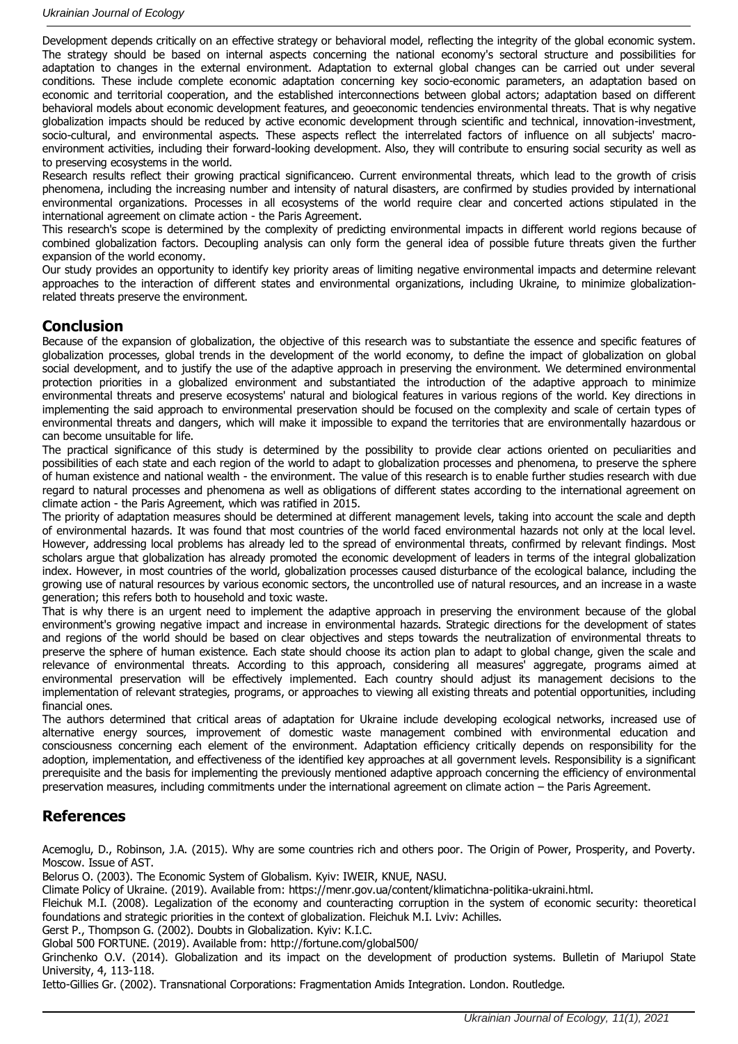Development depends critically on an effective strategy or behavioral model, reflecting the integrity of the global economic system. The strategy should be based on internal aspects concerning the national economy's sectoral structure and possibilities for adaptation to changes in the external environment. Adaptation to external global changes can be carried out under several conditions. These include complete economic adaptation concerning key socio-economic parameters, an adaptation based on economic and territorial cooperation, and the established interconnections between global actors; adaptation based on different behavioral models about economic development features, and geoeconomic tendencies environmental threats. That is why negative globalization impacts should be reduced by active economic development through scientific and technical, innovation-investment, socio-cultural, and environmental aspects. These aspects reflect the interrelated factors of influence on all subjects' macroenvironment activities, including their forward-looking development. Also, they will contribute to ensuring social security as well as to preserving ecosystems in the world.

Research results reflect their growing practical significanceю. Current environmental threats, which lead to the growth of crisis phenomena, including the increasing number and intensity of natural disasters, are confirmed by studies provided by international environmental organizations. Processes in all ecosystems of the world require clear and concerted actions stipulated in the international agreement on climate action - the Paris Agreement.

This research's scope is determined by the complexity of predicting environmental impacts in different world regions because of combined globalization factors. Decoupling analysis can only form the general idea of possible future threats given the further expansion of the world economy.

Our study provides an opportunity to identify key priority areas of limiting negative environmental impacts and determine relevant approaches to the interaction of different states and environmental organizations, including Ukraine, to minimize globalizationrelated threats preserve the environment.

## **Conclusion**

Because of the expansion of globalization, the objective of this research was to substantiate the essence and specific features of globalization processes, global trends in the development of the world economy, to define the impact of globalization on global social development, and to justify the use of the adaptive approach in preserving the environment. We determined environmental protection priorities in a globalized environment and substantiated the introduction of the adaptive approach to minimize environmental threats and preserve ecosystems' natural and biological features in various regions of the world. Key directions in implementing the said approach to environmental preservation should be focused on the complexity and scale of certain types of environmental threats and dangers, which will make it impossible to expand the territories that are environmentally hazardous or can become unsuitable for life.

The practical significance of this study is determined by the possibility to provide clear actions oriented on peculiarities and possibilities of each state and each region of the world to adapt to globalization processes and phenomena, to preserve the sphere of human existence and national wealth - the environment. The value of this research is to enable further studies research with due regard to natural processes and phenomena as well as obligations of different states according to the international agreement on climate action - the Paris Agreement, which was ratified in 2015.

The priority of adaptation measures should be determined at different management levels, taking into account the scale and depth of environmental hazards. It was found that most countries of the world faced environmental hazards not only at the local level. However, addressing local problems has already led to the spread of environmental threats, confirmed by relevant findings. Most scholars argue that globalization has already promoted the economic development of leaders in terms of the integral globalization index. However, in most countries of the world, globalization processes caused disturbance of the ecological balance, including the growing use of natural resources by various economic sectors, the uncontrolled use of natural resources, and an increase in a waste generation; this refers both to household and toxic waste.

That is why there is an urgent need to implement the adaptive approach in preserving the environment because of the global environment's growing negative impact and increase in environmental hazards. Strategic directions for the development of states and regions of the world should be based on clear objectives and steps towards the neutralization of environmental threats to preserve the sphere of human existence. Each state should choose its action plan to adapt to global change, given the scale and relevance of environmental threats. According to this approach, considering all measures' aggregate, programs aimed at environmental preservation will be effectively implemented. Each country should adjust its management decisions to the implementation of relevant strategies, programs, or approaches to viewing all existing threats and potential opportunities, including financial ones.

The authors determined that critical areas of adaptation for Ukraine include developing ecological networks, increased use of alternative energy sources, improvement of domestic waste management combined with environmental education and consciousness concerning each element of the environment. Adaptation efficiency critically depends on responsibility for the adoption, implementation, and effectiveness of the identified key approaches at all government levels. Responsibility is a significant prerequisite and the basis for implementing the previously mentioned adaptive approach concerning the efficiency of environmental preservation measures, including commitments under the international agreement on climate action – the Paris Agreement.

# **References**

Acemoglu, D., Robinson, J.A. (2015). Why are some countries rich and others poor. The Origin of Power, Prosperity, and Poverty. Moscow. Issue of AST.

Belorus O. (2003). The Economic System of Globalism. Kyiv: IWEIR, KNUE, NASU.

Climate Policy of Ukraine. (2019). Available from: https://menr.gov.ua/content/klimatichna-politika-ukraini.html.

Fleichuk M.I. (2008). Legalization of the economy and counteracting corruption in the system of economic security: theoretical foundations and strategic priorities in the context of globalization. Fleichuk M.I. Lviv: Achilles.

Gerst P., Thompson G. (2002). Doubts in Globalization. Kyiv: К.І.С.

Global 500 FORTUNE. (2019). Available from:<http://fortune.com/global500/>

Grinchenko O.V. (2014). Globalization and its impact on the development of production systems. Bulletin of Mariupol State University, 4, 113-118.

Ietto-Gillies Gr. (2002). Transnational Corporations: Fragmentation Amids Integration. London. Routledge.